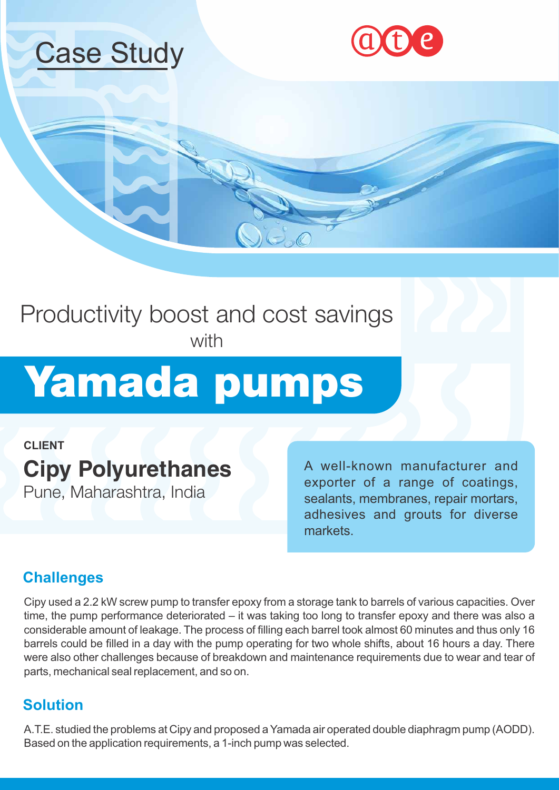





### Productivity boost and cost savings with

# Yamada pumps

**CLIENT** 

## **Cipy Polyurethanes**

Pune, Maharashtra, India

A well-known manufacturer and exporter of a range of coatings, sealants, membranes, repair mortars, adhesives and grouts for diverse markets.

#### **Challenges**

Cipy used a 2.2 kW screw pump to transfer epoxy from a storage tank to barrels of various capacities. Over time, the pump performance deteriorated – it was taking too long to transfer epoxy and there was also a considerable amount of leakage. The process of filling each barrel took almost 60 minutes and thus only 16 barrels could be filled in a day with the pump operating for two whole shifts, about 16 hours a day. There were also other challenges because of breakdown and maintenance requirements due to wear and tear of parts, mechanical seal replacement, and so on.

#### **Solution**

A.T.E. studied the problems at Cipy and proposed a Yamada air operated double diaphragm pump (AODD). Based on the application requirements, a 1-inch pump was selected.